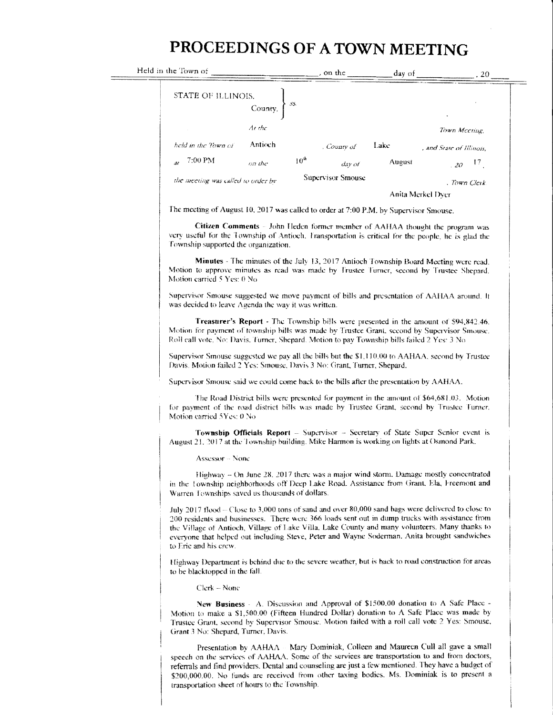## PROCEEDINGS OF A TOWN MEETING

| in the Town or                     |         |                  | , on the          | day of | 20                       |  |  |
|------------------------------------|---------|------------------|-------------------|--------|--------------------------|--|--|
| STATE OF ILLINOIS,                 | County, | -55.             |                   |        | $\bullet$                |  |  |
|                                    | At the  |                  |                   |        | Town Mccung              |  |  |
| held in the Town of                | Antioch |                  | , County of       | Lake   | , and State of Illinois. |  |  |
| $7:00$ PM<br>$\overline{a}$ r      | on the  | 10 <sup>th</sup> | day of            | August | 17<br>20 <sup>2</sup>    |  |  |
| the meeting was called to order by |         |                  | Supervisor Smouse |        | . Town Clerk             |  |  |
|                                    |         |                  | Anita Merkel Dver |        |                          |  |  |

The meeting of August 10, 2017 was called to order at 7:00 P.M. by Supervisor Smouse.

Citizen Comments – John Heden former member of AAHAA thought the program was very useful for the Township of Antioch. Fransportation is critical for the people, he is glad the Township supported the organization.

Minutes - The minutes of the July 13, 2017 Antioch Township Board Meeting were read. Motion to approve minutes as read was made by Trustee Turner, second by Trustee Shepard. Motion carried 5 Yes: 0 No

Supervisor Smouse suggested we move payment of bills and presentation of AAHAA around. It was decided to leave Agenda the way it was written.

Treasurer's Report - The Township bills were presented in the amount of \$94,842.46. Motion for payment of township bills was made by Trustee Grant, second by Supervisor Smouse. Roll call vote, No: Davis, Turner, Shepard, Motion to pay Township bills failed 2 Yes: 3 No

Supervisor Smouse suggested we pay all the bills but the \$1,110.00 to AAHAA, second by Trustee Davis, Motion failed 2 Yes: Smouse, Davis 3 No: Grant, Turner, Shepard,

Supervisor Smouse said we could come back to the bills after the presentation by AAHAA.

The Road District bills were presented for payment in the amount of \$64,681.03. Motion for payment of the road district bills was made by Trustee Grant, second by Trustee Turner. Motion carried 5Yes: 0 No

Township Officials Report - Supervisor - Secretary of State Super Senior event is August 21, 2017 at the Township building. Mike Harmon is working on lights at Osmond Park.

Assessor - None

Held

Highway – On June 28, 2017 there was a major wind storm. Damage mostly concentrated in the Township neighborhoods off Deep Lake Road. Assistance from Grant, Ela, Freemont and Warren Townships saved us thousands of dollars.

July 2017 flood - Close to 3,000 tons of sand and over 80,000 sand bags were delivered to close to 200 residents and businesses. There were 366 loads sent out in dump trucks with assistance from the Village of Antioch, Village of Lake Villa, Lake County and many volunteers. Many thanks to everyone that helped out including Steve, Peter and Wayne Soderman. Anita brought sandwiches to Eric and his crew.

Highway Department is behind due to the severe weather, but is back to road construction for areas to be blacktopped in the fall.

Clerk - None

New Business - A. Discussion and Approval of \$1500.00 donation to A Safe Place -Motion to make a \$1,500.00 (Fifteen Hundred Dollar) donation to A Safe Place was made by Trustee Grant, second by Supervisor Smouse. Motion failed with a roll call vote 2 Yes: Smouse, Grant 3 No: Shepard, Turner, Davis.

Presentation by AAHAA - Mary Dominiak, Colleen and Maureen Cull all gave a small speech on the services of AAHAA. Some of the services are transportation to and from doctors, referrals and find providers. Dental and counseling are just a few mentioned. They have a budget of \$200,000.00. No funds are received from other taxing bodies. Ms. Dominiak is to present a transportation sheet of hours to the Township.